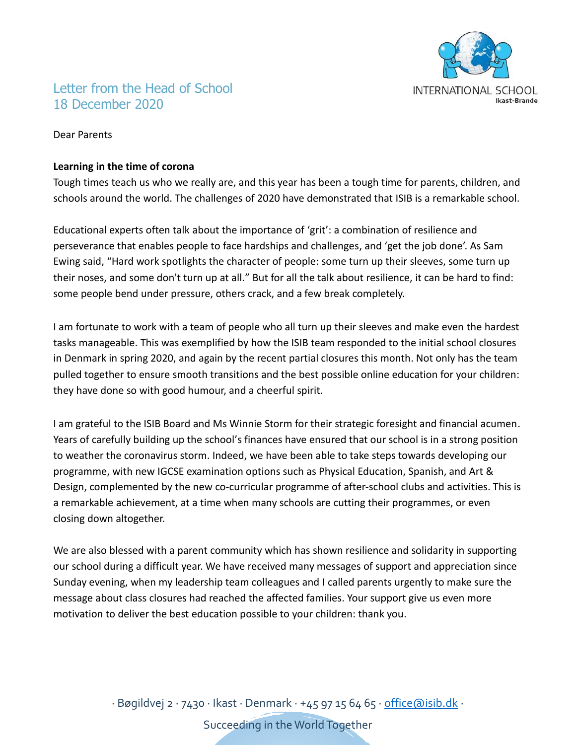

# Letter from the Head of School 18 December 2020

Dear Parents

## **Learning in the time of corona**

Tough times teach us who we really are, and this year has been a tough time for parents, children, and schools around the world. The challenges of 2020 have demonstrated that ISIB is a remarkable school.

Educational experts often talk about the importance of 'grit': a combination of resilience and perseverance that enables people to face hardships and challenges, and 'get the job done'. As Sam Ewing said, "Hard work spotlights the character of people: some turn up their sleeves, some turn up their noses, and some don't turn up at all." But for all the talk about resilience, it can be hard to find: some people bend under pressure, others crack, and a few break completely.

I am fortunate to work with a team of people who all turn up their sleeves and make even the hardest tasks manageable. This was exemplified by how the ISIB team responded to the initial school closures in Denmark in spring 2020, and again by the recent partial closures this month. Not only has the team pulled together to ensure smooth transitions and the best possible online education for your children: they have done so with good humour, and a cheerful spirit.

I am grateful to the ISIB Board and Ms Winnie Storm for their strategic foresight and financial acumen. Years of carefully building up the school's finances have ensured that our school is in a strong position to weather the coronavirus storm. Indeed, we have been able to take steps towards developing our programme, with new IGCSE examination options such as Physical Education, Spanish, and Art & Design, complemented by the new co-curricular programme of after-school clubs and activities. This is a remarkable achievement, at a time when many schools are cutting their programmes, or even closing down altogether.

We are also blessed with a parent community which has shown resilience and solidarity in supporting our school during a difficult year. We have received many messages of support and appreciation since Sunday evening, when my leadership team colleagues and I called parents urgently to make sure the message about class closures had reached the affected families. Your support give us even more motivation to deliver the best education possible to your children: thank you.

> ∙ Bøgildvej 2 ∙ 7430 ∙ Ikast ∙ Denmark ∙ +45 97 15 64 65 ∙ [office@isib.dk](mailto:office@isib.dk) ∙ Succeeding in the World Together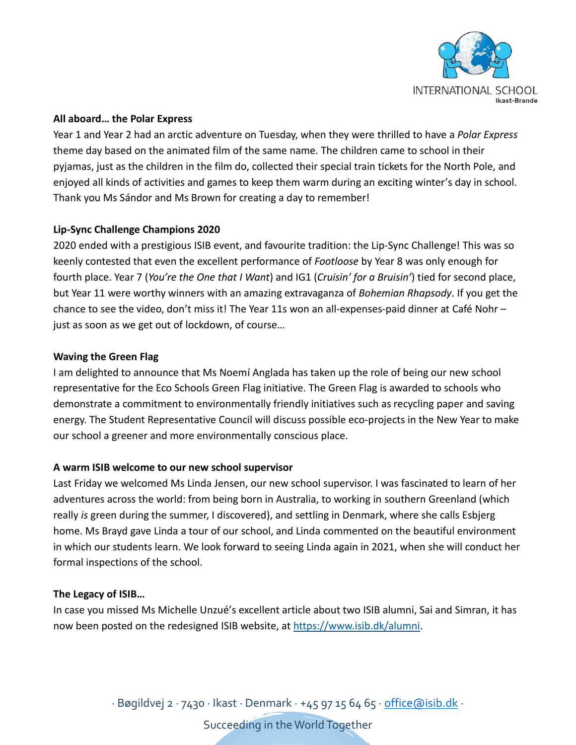

## **All aboard… the Polar Express**

Year 1 and Year 2 had an arctic adventure on Tuesday, when they were thrilled to have a *Polar Express*  theme day based on the animated film of the same name. The children came to school in their pyjamas, just as the children in the film do, collected their special train tickets for the North Pole, and enjoyed all kinds of activities and games to keep them warm during an exciting winter's day in school. Thank you Ms Sándor and Ms Brown for creating a day to remember!

## **Lip-Sync Challenge Champions 2020**

2020 ended with a prestigious ISIB event, and favourite tradition: the Lip-Sync Challenge! This was so keenly contested that even the excellent performance of *Footloose* by Year 8 was only enough for fourth place. Year 7 (*You're the One that I Want*) and IG1 (*Cruisin' for a Bruisin'*) tied for second place, but Year 11 were worthy winners with an amazing extravaganza of *Bohemian Rhapsody*. If you get the chance to see the video, don't miss it! The Year 11s won an all-expenses-paid dinner at Café Nohr – just as soon as we get out of lockdown, of course…

#### **Waving the Green Flag**

I am delighted to announce that Ms Noemí Anglada has taken up the role of being our new school representative for the Eco Schools Green Flag initiative. The Green Flag is awarded to schools who demonstrate a commitment to environmentally friendly initiatives such as recycling paper and saving energy. The Student Representative Council will discuss possible eco-projects in the New Year to make our school a greener and more environmentally conscious place.

#### **A warm ISIB welcome to our new school supervisor**

Last Friday we welcomed Ms Linda Jensen, our new school supervisor. I was fascinated to learn of her adventures across the world: from being born in Australia, to working in southern Greenland (which really *is* green during the summer, I discovered), and settling in Denmark, where she calls Esbjerg home. Ms Brayd gave Linda a tour of our school, and Linda commented on the beautiful environment in which our students learn. We look forward to seeing Linda again in 2021, when she will conduct her formal inspections of the school.

#### **The Legacy of ISIB…**

In case you missed Ms Michelle Unzué's excellent article about two ISIB alumni, Sai and Simran, it has now been posted on the redesigned ISIB website, at [https://www.isib.dk/alumni.](https://www.isib.dk/alumni)

∙ Bøgildvej 2 ∙ 7430 ∙ Ikast ∙ Denmark ∙ +45 97 15 64 65 ∙ [office@isib.dk](mailto:office@isib.dk) ∙

Succeeding in the World Together